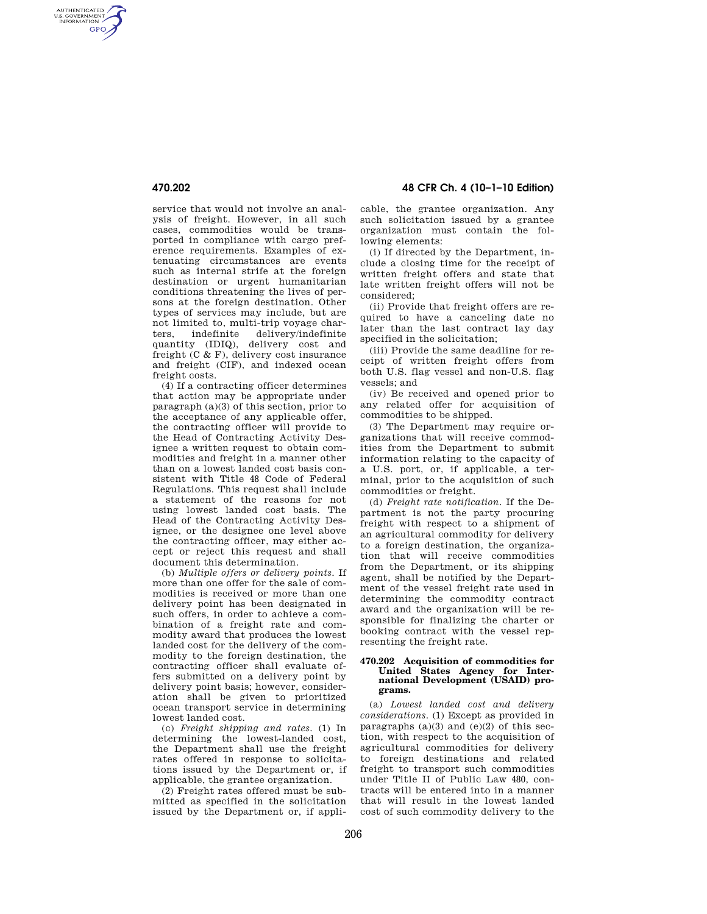AUTHENTICATED<br>U.S. GOVERNMENT<br>INFORMATION **GPO** 

> service that would not involve an analysis of freight. However, in all such cases, commodities would be transported in compliance with cargo preference requirements. Examples of extenuating circumstances are events such as internal strife at the foreign destination or urgent humanitarian conditions threatening the lives of persons at the foreign destination. Other types of services may include, but are not limited to, multi-trip voyage charters, indefinite delivery/indefinite quantity (IDIQ), delivery cost and freight (C & F), delivery cost insurance and freight (CIF), and indexed ocean freight costs.

> (4) If a contracting officer determines that action may be appropriate under paragraph (a)(3) of this section, prior to the acceptance of any applicable offer, the contracting officer will provide to the Head of Contracting Activity Designee a written request to obtain commodities and freight in a manner other than on a lowest landed cost basis consistent with Title 48 Code of Federal Regulations. This request shall include a statement of the reasons for not using lowest landed cost basis. The Head of the Contracting Activity Designee, or the designee one level above the contracting officer, may either accept or reject this request and shall document this determination.

> (b) *Multiple offers or delivery points*. If more than one offer for the sale of commodities is received or more than one delivery point has been designated in such offers, in order to achieve a combination of a freight rate and commodity award that produces the lowest landed cost for the delivery of the commodity to the foreign destination, the contracting officer shall evaluate offers submitted on a delivery point by delivery point basis; however, consideration shall be given to prioritized ocean transport service in determining lowest landed cost.

> (c) *Freight shipping and rates*. (1) In determining the lowest-landed cost, the Department shall use the freight rates offered in response to solicitations issued by the Department or, if applicable, the grantee organization.

> (2) Freight rates offered must be submitted as specified in the solicitation issued by the Department or, if appli-

**470.202 48 CFR Ch. 4 (10–1–10 Edition)** 

cable, the grantee organization. Any such solicitation issued by a grantee organization must contain the following elements:

(i) If directed by the Department, include a closing time for the receipt of written freight offers and state that late written freight offers will not be considered;

(ii) Provide that freight offers are required to have a canceling date no later than the last contract lay day specified in the solicitation;

(iii) Provide the same deadline for receipt of written freight offers from both U.S. flag vessel and non-U.S. flag vessels; and

(iv) Be received and opened prior to any related offer for acquisition of commodities to be shipped.

(3) The Department may require organizations that will receive commodities from the Department to submit information relating to the capacity of a U.S. port, or, if applicable, a terminal, prior to the acquisition of such commodities or freight.

(d) *Freight rate notification*. If the Department is not the party procuring freight with respect to a shipment of an agricultural commodity for delivery to a foreign destination, the organization that will receive commodities from the Department, or its shipping agent, shall be notified by the Department of the vessel freight rate used in determining the commodity contract award and the organization will be responsible for finalizing the charter or booking contract with the vessel representing the freight rate.

## **470.202 Acquisition of commodities for United States Agency for International Development (USAID) programs.**

(a) *Lowest landed cost and delivery considerations*. (1) Except as provided in paragraphs  $(a)(3)$  and  $(e)(2)$  of this section, with respect to the acquisition of agricultural commodities for delivery to foreign destinations and related freight to transport such commodities under Title II of Public Law 480, contracts will be entered into in a manner that will result in the lowest landed cost of such commodity delivery to the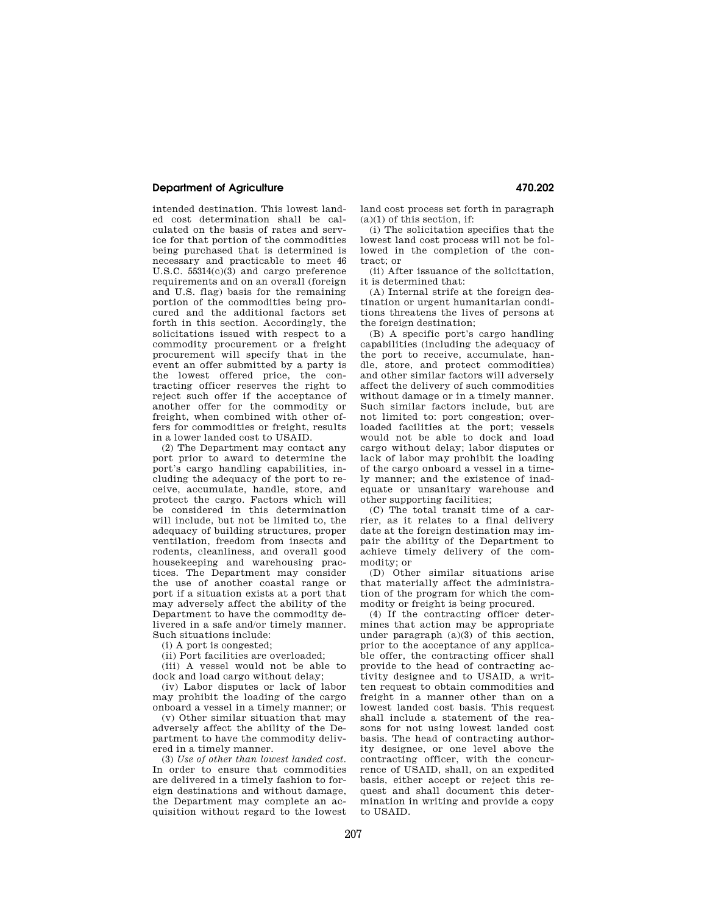## **Department of Agriculture 470.202**

intended destination. This lowest landed cost determination shall be calculated on the basis of rates and service for that portion of the commodities being purchased that is determined is necessary and practicable to meet 46 U.S.C. 55314(c)(3) and cargo preference requirements and on an overall (foreign and U.S. flag) basis for the remaining portion of the commodities being procured and the additional factors set forth in this section. Accordingly, the solicitations issued with respect to a commodity procurement or a freight procurement will specify that in the event an offer submitted by a party is the lowest offered price, the contracting officer reserves the right to reject such offer if the acceptance of another offer for the commodity or freight, when combined with other offers for commodities or freight, results in a lower landed cost to USAID.

(2) The Department may contact any port prior to award to determine the port's cargo handling capabilities, including the adequacy of the port to receive, accumulate, handle, store, and protect the cargo. Factors which will be considered in this determination will include, but not be limited to, the adequacy of building structures, proper ventilation, freedom from insects and rodents, cleanliness, and overall good housekeeping and warehousing practices. The Department may consider the use of another coastal range or port if a situation exists at a port that may adversely affect the ability of the Department to have the commodity delivered in a safe and/or timely manner. Such situations include:

(i) A port is congested;

(ii) Port facilities are overloaded;

(iii) A vessel would not be able to dock and load cargo without delay;

(iv) Labor disputes or lack of labor may prohibit the loading of the cargo onboard a vessel in a timely manner; or

(v) Other similar situation that may adversely affect the ability of the Department to have the commodity delivered in a timely manner.

(3) *Use of other than lowest landed cost.*  In order to ensure that commodities are delivered in a timely fashion to foreign destinations and without damage, the Department may complete an acquisition without regard to the lowest land cost process set forth in paragraph  $(a)(1)$  of this section, if:

(i) The solicitation specifies that the lowest land cost process will not be followed in the completion of the contract; or

(ii) After issuance of the solicitation, it is determined that:

(A) Internal strife at the foreign destination or urgent humanitarian conditions threatens the lives of persons at the foreign destination;

(B) A specific port's cargo handling capabilities (including the adequacy of the port to receive, accumulate, handle, store, and protect commodities) and other similar factors will adversely affect the delivery of such commodities without damage or in a timely manner. Such similar factors include, but are not limited to: port congestion; overloaded facilities at the port; vessels would not be able to dock and load cargo without delay; labor disputes or lack of labor may prohibit the loading of the cargo onboard a vessel in a timely manner; and the existence of inadequate or unsanitary warehouse and other supporting facilities;

(C) The total transit time of a carrier, as it relates to a final delivery date at the foreign destination may impair the ability of the Department to achieve timely delivery of the commodity; or

(D) Other similar situations arise that materially affect the administration of the program for which the commodity or freight is being procured.

(4) If the contracting officer determines that action may be appropriate under paragraph (a)(3) of this section, prior to the acceptance of any applicable offer, the contracting officer shall provide to the head of contracting activity designee and to USAID, a written request to obtain commodities and freight in a manner other than on a lowest landed cost basis. This request shall include a statement of the reasons for not using lowest landed cost basis. The head of contracting authority designee, or one level above the contracting officer, with the concurrence of USAID, shall, on an expedited basis, either accept or reject this request and shall document this determination in writing and provide a copy to USAID.